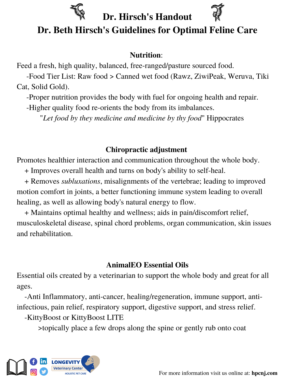

# **Dr. Hirsch's Handout**



## **Dr. Beth Hirsch's Guidelines for Optimal Feline Care**

### **Nutrition**:

Feed a fresh, high quality, balanced, free-ranged/pasture sourced food.

-Food Tier List: Raw food > Canned wet food (Rawz, ZiwiPeak, Weruva, Tiki Cat, Solid Gold).

-Proper nutrition provides the body with fuel for ongoing health and repair.

-Higher quality food re-orients the body from its imbalances.

"*Let food by they medicine and medicine by thy food*" Hippocrates

### **Chiropractic adjustment**

Promotes healthier interaction and communication throughout the whole body.

+ Improves overall health and turns on body's ability to self-heal.

+ Removes *subluxations*, misalignments of the vertebrae; leading to improved motion comfort in joints, a better functioning immune system leading to overall healing, as well as allowing body's natural energy to flow.

+ Maintains optimal healthy and wellness; aids in pain/discomfort relief, musculoskeletal disease, spinal chord problems, organ communication, skin issues and rehabilitation.

### **AnimalEO Essential Oils**

Essential oils created by a veterinarian to support the whole body and great for all ages.

-Anti Inflammatory, anti-cancer, healing/regeneration, immune support, antiinfectious, pain relief, respiratory support, digestive support, and stress relief.

-KittyBoost or KittyBoost LITE

>topically place a few drops along the spine or gently rub onto coat

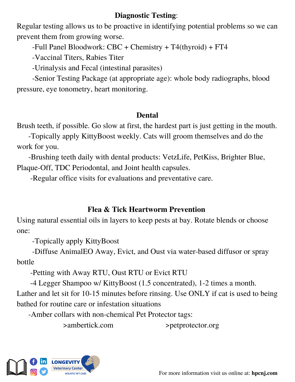#### **Diagnostic Testing**:

Regular testing allows us to be proactive in identifying potential problems so we can prevent them from growing worse.

-Full Panel Bloodwork: CBC + Chemistry + T4(thyroid) + FT4

-Vaccinal Titers, Rabies Titer

-Urinalysis and Fecal (intestinal parasites)

-Senior Testing Package (at appropriate age): whole body radiographs, blood pressure, eye tonometry, heart monitoring.

#### **Dental**

Brush teeth, if possible. Go slow at first, the hardest part is just getting in the mouth.

-Topically apply KittyBoost weekly. Cats will groom themselves and do the work for you.

-Brushing teeth daily with dental products: VetzLife, PetKiss, Brighter Blue, Plaque-Off, TDC Periodontal, and Joint health capsules.

-Regular office visits for evaluations and preventative care.

### **Flea & Tick Heartworm Prevention**

Using natural essential oils in layers to keep pests at bay. Rotate blends or choose one:

-Topically apply KittyBoost

-Diffuse AnimalEO Away, Evict, and Oust via water-based diffusor or spray bottle

-Petting with Away RTU, Oust RTU or Evict RTU

-4 Legger Shampoo w/ KittyBoost (1.5 concentrated), 1-2 times a month.

Lather and let sit for 10-15 minutes before rinsing. Use ONLY if cat is used to being bathed for routine care or infestation situations

-Amber collars with non-chemical Pet Protector tags:

>ambertick.com >petprotector.org



For more information visit us online at: **hpcnj.com**